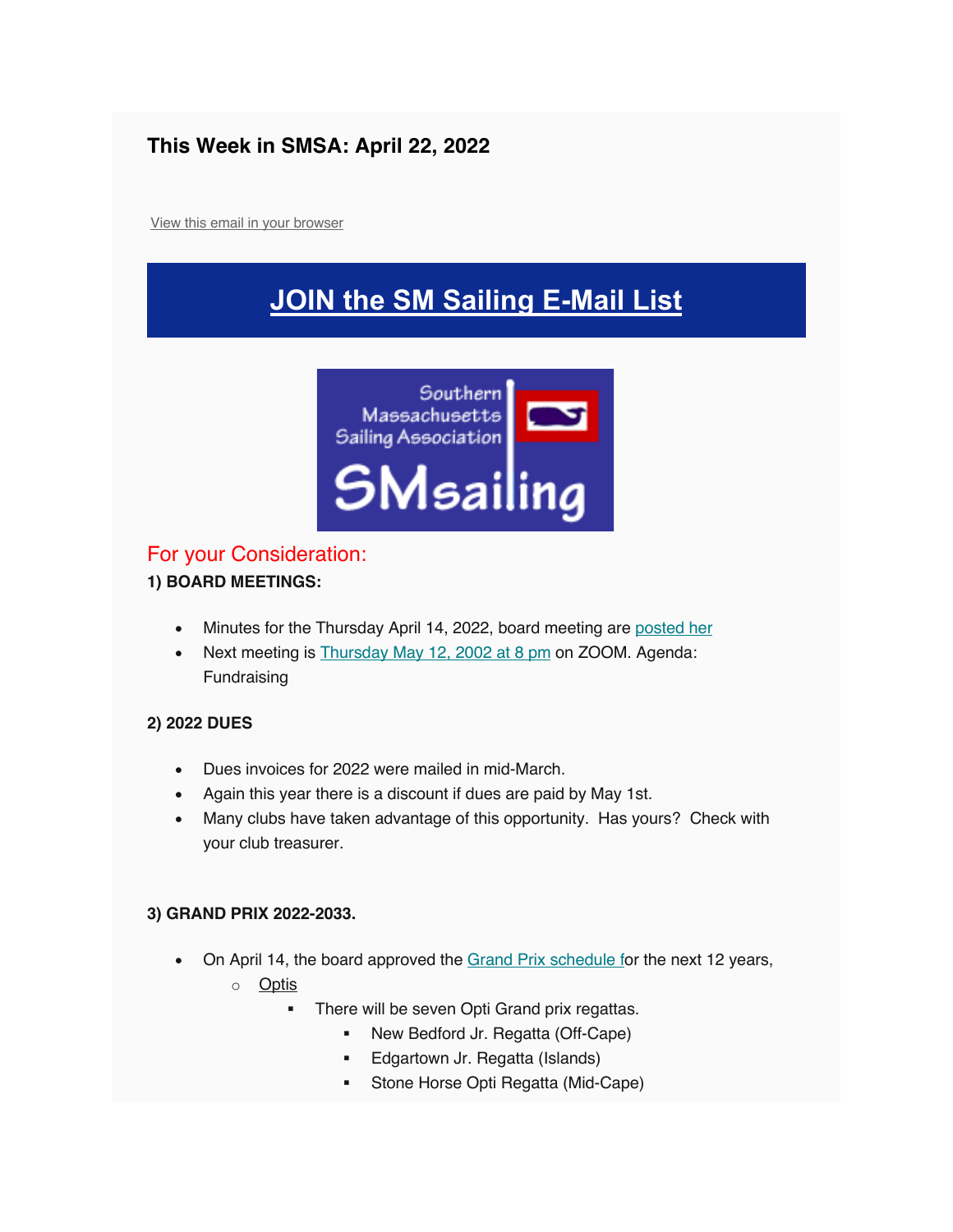### **This Week in SMSA: April 22, 2022**

View this email in your browser

## **JOIN the SM Sailing E-Mail List**



#### For your Consideration:

#### **1) BOARD MEETINGS:**

- Minutes for the Thursday April 14, 2022, board meeting are posted her
- Next meeting is Thursday May 12, 2002 at 8 pm on ZOOM. Agenda: Fundraising

#### **2) 2022 DUES**

- Dues invoices for 2022 were mailed in mid-March.
- Again this year there is a discount if dues are paid by May 1st.
- Many clubs have taken advantage of this opportunity. Has yours? Check with your club treasurer.

#### **3) GRAND PRIX 2022-2033.**

- On April 14, the board approved the Grand Prix schedule for the next 12 years,
	- o Optis
		- **There will be seven Opti Grand prix regattas.** 
			- New Bedford Jr. Regatta (Off-Cape)
			- Edgartown Jr. Regatta (Islands)
			- Stone Horse Opti Regatta (Mid-Cape)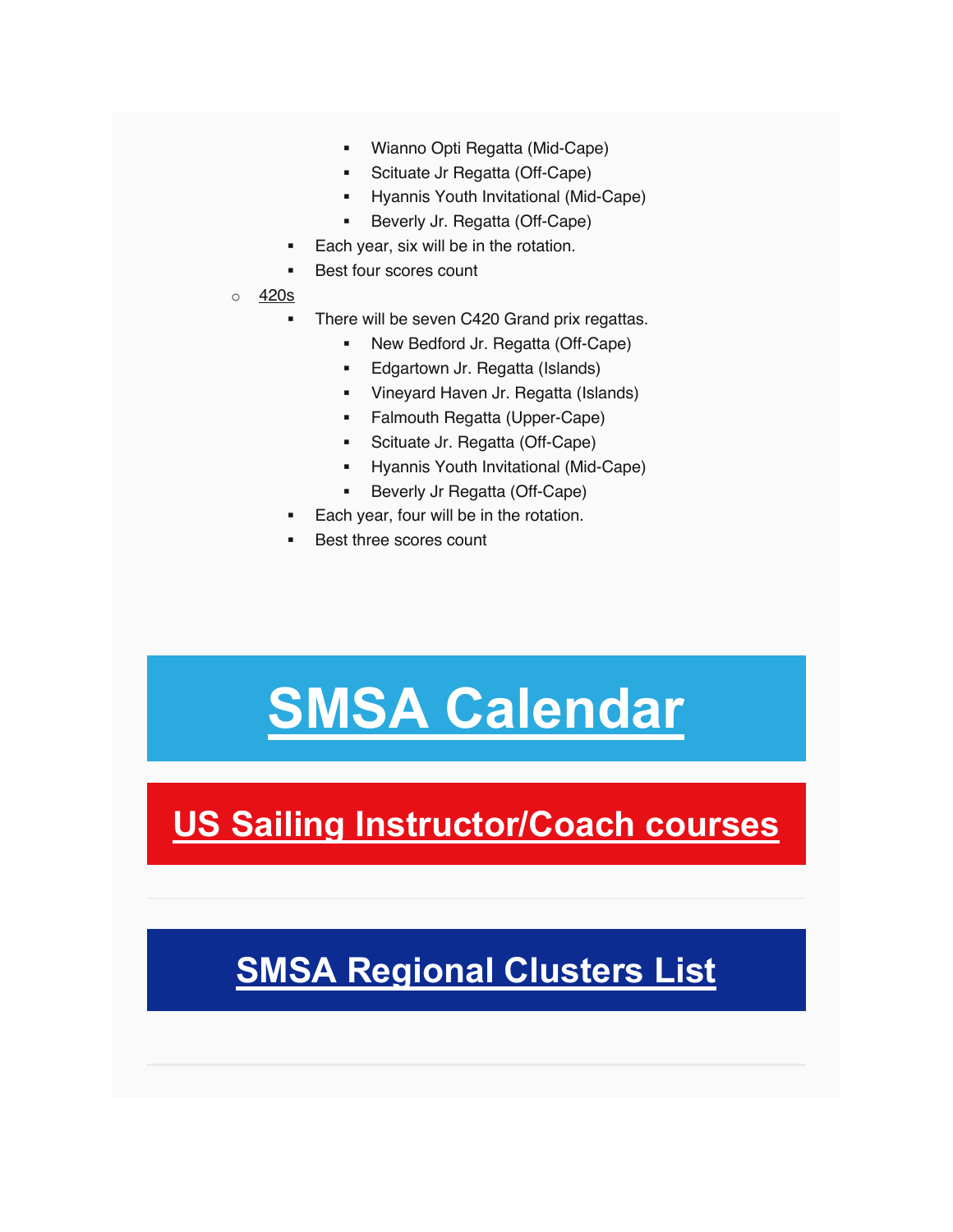- § Wianno Opti Regatta (Mid-Cape)
- Scituate Jr Regatta (Off-Cape)
- § Hyannis Youth Invitational (Mid-Cape)
- § Beverly Jr. Regatta (Off-Cape)
- Each year, six will be in the rotation.
- Best four scores count
- o 420s
	- There will be seven C420 Grand prix regattas.
		- New Bedford Jr. Regatta (Off-Cape)
		- **Edgartown Jr. Regatta (Islands)**
		- § Vineyard Haven Jr. Regatta (Islands)
		- § Falmouth Regatta (Upper-Cape)
		- § Scituate Jr. Regatta (Off-Cape)
		- § Hyannis Youth Invitational (Mid-Cape)
		- Beverly Jr Regatta (Off-Cape)
	- Each year, four will be in the rotation.
	- Best three scores count

# **SMSA Calendar**

**US Sailing Instructor/Coach courses**

## **SMSA Regional Clusters List**